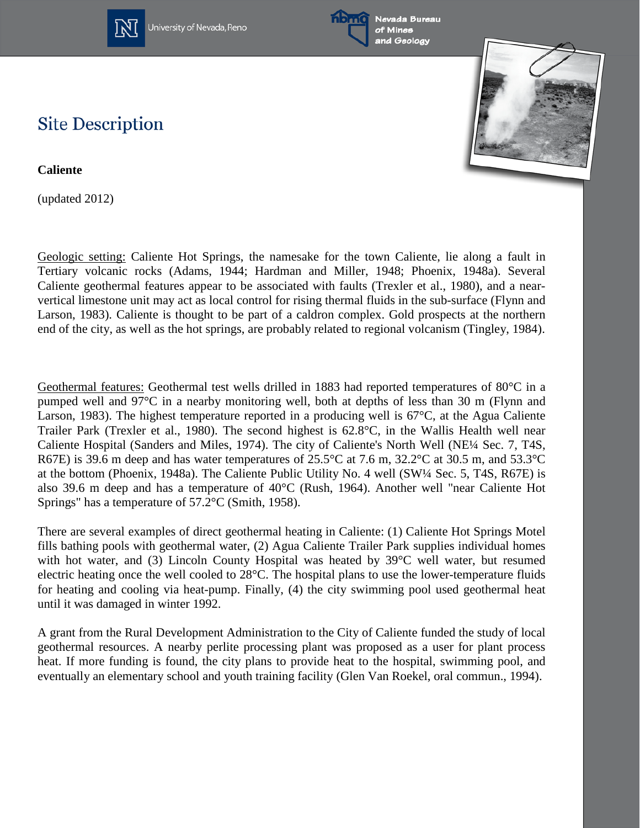

University of Nevada, Reno





## **Site Description**

**Caliente**

(updated 2012)

Geologic setting: Caliente Hot Springs, the namesake for the town Caliente, lie along a fault in Tertiary volcanic rocks (Adams, 1944; Hardman and Miller, 1948; Phoenix, 1948a). Several Caliente geothermal features appear to be associated with faults (Trexler et al., 1980), and a nearvertical limestone unit may act as local control for rising thermal fluids in the sub-surface (Flynn and Larson, 1983). Caliente is thought to be part of a caldron complex. Gold prospects at the northern end of the city, as well as the hot springs, are probably related to regional volcanism (Tingley, 1984).

Geothermal features: Geothermal test wells drilled in 1883 had reported temperatures of 80°C in a pumped well and 97°C in a nearby monitoring well, both at depths of less than 30 m (Flynn and Larson, 1983). The highest temperature reported in a producing well is 67°C, at the Agua Caliente Trailer Park (Trexler et al., 1980). The second highest is 62.8°C, in the Wallis Health well near Caliente Hospital (Sanders and Miles, 1974). The city of Caliente's North Well (NE¼ Sec. 7, T4S, R67E) is 39.6 m deep and has water temperatures of 25.5°C at 7.6 m, 32.2°C at 30.5 m, and 53.3°C at the bottom (Phoenix, 1948a). The Caliente Public Utility No. 4 well (SW¼ Sec. 5, T4S, R67E) is also 39.6 m deep and has a temperature of 40°C (Rush, 1964). Another well "near Caliente Hot Springs" has a temperature of 57.2°C (Smith, 1958).

There are several examples of direct geothermal heating in Caliente: (1) Caliente Hot Springs Motel fills bathing pools with geothermal water, (2) Agua Caliente Trailer Park supplies individual homes with hot water, and (3) Lincoln County Hospital was heated by 39°C well water, but resumed electric heating once the well cooled to 28°C. The hospital plans to use the lower-temperature fluids for heating and cooling via heat-pump. Finally, (4) the city swimming pool used geothermal heat until it was damaged in winter 1992.

A grant from the Rural Development Administration to the City of Caliente funded the study of local geothermal resources. A nearby perlite processing plant was proposed as a user for plant process heat. If more funding is found, the city plans to provide heat to the hospital, swimming pool, and eventually an elementary school and youth training facility (Glen Van Roekel, oral commun., 1994).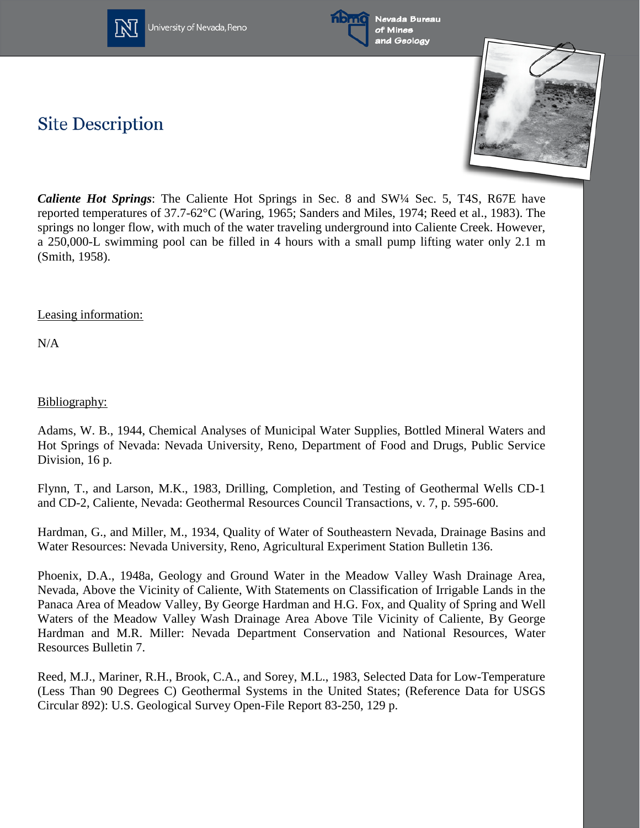

University of Nevada, Reno





*Caliente Hot Springs*: The Caliente Hot Springs in Sec. 8 and SW¼ Sec. 5, T4S, R67E have reported temperatures of 37.7-62°C (Waring, 1965; Sanders and Miles, 1974; Reed et al., 1983). The springs no longer flow, with much of the water traveling underground into Caliente Creek. However, a 250,000-L swimming pool can be filled in 4 hours with a small pump lifting water only 2.1 m (Smith, 1958).

## Leasing information:

**Site Description** 

N/A

## Bibliography:

Adams, W. B., 1944, Chemical Analyses of Municipal Water Supplies, Bottled Mineral Waters and Hot Springs of Nevada: Nevada University, Reno, Department of Food and Drugs, Public Service Division, 16 p.

Flynn, T., and Larson, M.K., 1983, Drilling, Completion, and Testing of Geothermal Wells CD-1 and CD-2, Caliente, Nevada: Geothermal Resources Council Transactions, v. 7, p. 595-600.

Hardman, G., and Miller, M., 1934, Quality of Water of Southeastern Nevada, Drainage Basins and Water Resources: Nevada University, Reno, Agricultural Experiment Station Bulletin 136.

Phoenix, D.A., 1948a, Geology and Ground Water in the Meadow Valley Wash Drainage Area, Nevada, Above the Vicinity of Caliente, With Statements on Classification of Irrigable Lands in the Panaca Area of Meadow Valley, By George Hardman and H.G. Fox, and Quality of Spring and Well Waters of the Meadow Valley Wash Drainage Area Above Tile Vicinity of Caliente, By George Hardman and M.R. Miller: Nevada Department Conservation and National Resources, Water Resources Bulletin 7.

Reed, M.J., Mariner, R.H., Brook, C.A., and Sorey, M.L., 1983, Selected Data for Low-Temperature (Less Than 90 Degrees C) Geothermal Systems in the United States; (Reference Data for USGS Circular 892): U.S. Geological Survey Open-File Report 83-250, 129 p.